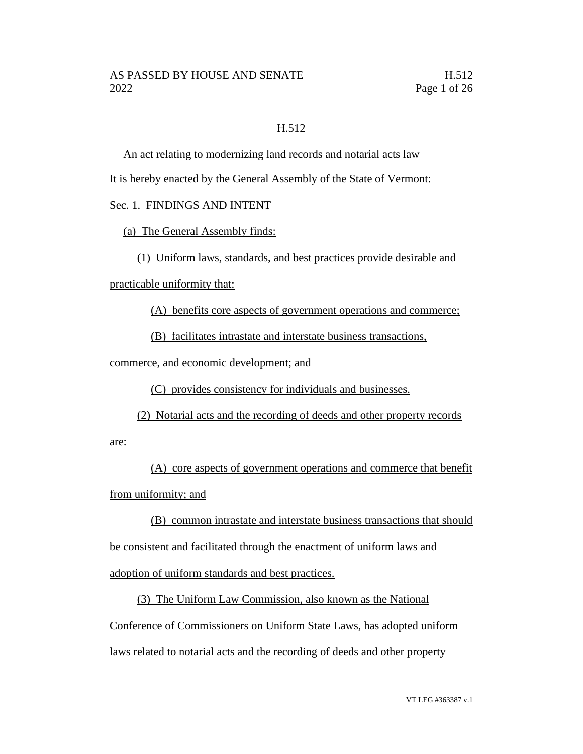## H.512

An act relating to modernizing land records and notarial acts law

It is hereby enacted by the General Assembly of the State of Vermont:

# Sec. 1. FINDINGS AND INTENT

(a) The General Assembly finds:

(1) Uniform laws, standards, and best practices provide desirable and

practicable uniformity that:

(A) benefits core aspects of government operations and commerce;

(B) facilitates intrastate and interstate business transactions,

commerce, and economic development; and

(C) provides consistency for individuals and businesses.

(2) Notarial acts and the recording of deeds and other property records

are:

(A) core aspects of government operations and commerce that benefit from uniformity; and

(B) common intrastate and interstate business transactions that should be consistent and facilitated through the enactment of uniform laws and adoption of uniform standards and best practices.

(3) The Uniform Law Commission, also known as the National Conference of Commissioners on Uniform State Laws, has adopted uniform laws related to notarial acts and the recording of deeds and other property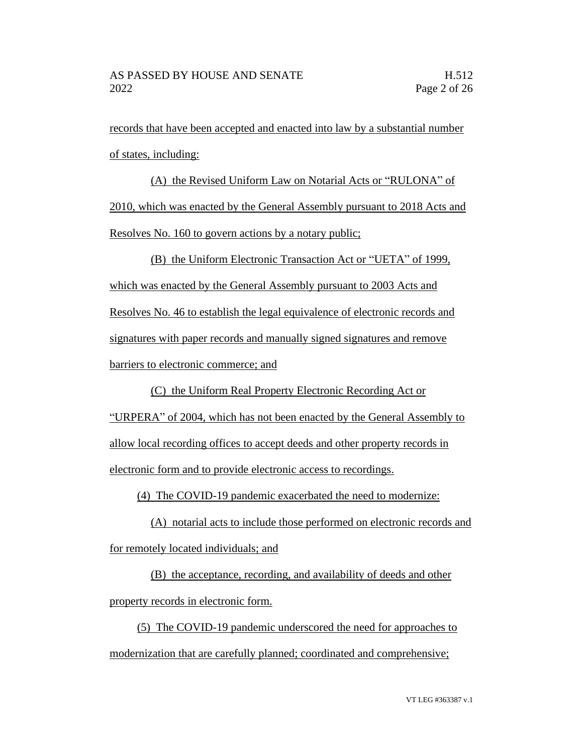records that have been accepted and enacted into law by a substantial number of states, including:

(A) the Revised Uniform Law on Notarial Acts or "RULONA" of 2010, which was enacted by the General Assembly pursuant to 2018 Acts and Resolves No. 160 to govern actions by a notary public;

(B) the Uniform Electronic Transaction Act or "UETA" of 1999, which was enacted by the General Assembly pursuant to 2003 Acts and Resolves No. 46 to establish the legal equivalence of electronic records and signatures with paper records and manually signed signatures and remove barriers to electronic commerce; and

(C) the Uniform Real Property Electronic Recording Act or "URPERA" of 2004, which has not been enacted by the General Assembly to allow local recording offices to accept deeds and other property records in electronic form and to provide electronic access to recordings.

(4) The COVID-19 pandemic exacerbated the need to modernize:

(A) notarial acts to include those performed on electronic records and for remotely located individuals; and

(B) the acceptance, recording, and availability of deeds and other property records in electronic form.

(5) The COVID-19 pandemic underscored the need for approaches to modernization that are carefully planned; coordinated and comprehensive;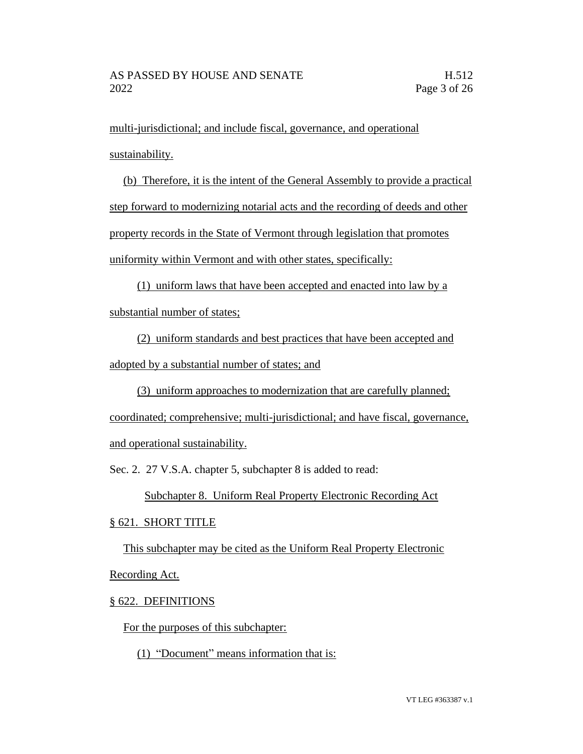multi-jurisdictional; and include fiscal, governance, and operational sustainability.

(b) Therefore, it is the intent of the General Assembly to provide a practical step forward to modernizing notarial acts and the recording of deeds and other property records in the State of Vermont through legislation that promotes uniformity within Vermont and with other states, specifically:

(1) uniform laws that have been accepted and enacted into law by a substantial number of states;

(2) uniform standards and best practices that have been accepted and adopted by a substantial number of states; and

(3) uniform approaches to modernization that are carefully planned; coordinated; comprehensive; multi-jurisdictional; and have fiscal, governance, and operational sustainability.

Sec. 2. 27 V.S.A. chapter 5, subchapter 8 is added to read:

Subchapter 8. Uniform Real Property Electronic Recording Act

## § 621. SHORT TITLE

This subchapter may be cited as the Uniform Real Property Electronic Recording Act.

## § 622. DEFINITIONS

For the purposes of this subchapter:

(1) "Document" means information that is: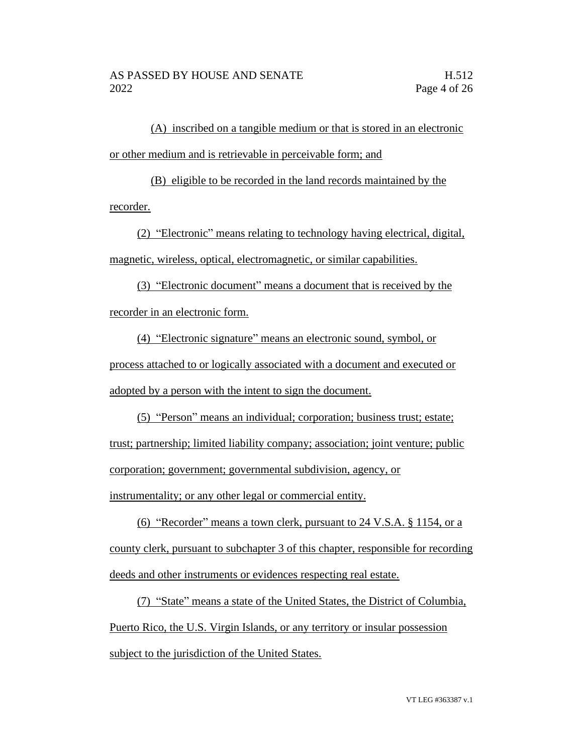(A) inscribed on a tangible medium or that is stored in an electronic or other medium and is retrievable in perceivable form; and

(B) eligible to be recorded in the land records maintained by the recorder.

(2) "Electronic" means relating to technology having electrical, digital, magnetic, wireless, optical, electromagnetic, or similar capabilities.

(3) "Electronic document" means a document that is received by the recorder in an electronic form.

(4) "Electronic signature" means an electronic sound, symbol, or process attached to or logically associated with a document and executed or adopted by a person with the intent to sign the document.

(5) "Person" means an individual; corporation; business trust; estate; trust; partnership; limited liability company; association; joint venture; public corporation; government; governmental subdivision, agency, or instrumentality; or any other legal or commercial entity.

(6) "Recorder" means a town clerk, pursuant to 24 V.S.A. § 1154, or a county clerk, pursuant to subchapter 3 of this chapter, responsible for recording deeds and other instruments or evidences respecting real estate.

(7) "State" means a state of the United States, the District of Columbia, Puerto Rico, the U.S. Virgin Islands, or any territory or insular possession subject to the jurisdiction of the United States.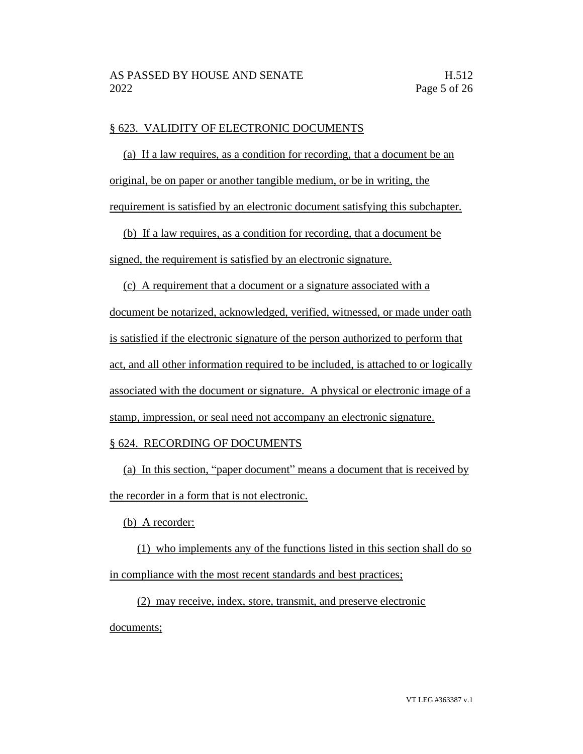### § 623. VALIDITY OF ELECTRONIC DOCUMENTS

(a) If a law requires, as a condition for recording, that a document be an original, be on paper or another tangible medium, or be in writing, the requirement is satisfied by an electronic document satisfying this subchapter.

(b) If a law requires, as a condition for recording, that a document be signed, the requirement is satisfied by an electronic signature.

(c) A requirement that a document or a signature associated with a document be notarized, acknowledged, verified, witnessed, or made under oath is satisfied if the electronic signature of the person authorized to perform that act, and all other information required to be included, is attached to or logically associated with the document or signature. A physical or electronic image of a stamp, impression, or seal need not accompany an electronic signature.

## § 624. RECORDING OF DOCUMENTS

(a) In this section, "paper document" means a document that is received by the recorder in a form that is not electronic.

(b) A recorder:

(1) who implements any of the functions listed in this section shall do so in compliance with the most recent standards and best practices;

(2) may receive, index, store, transmit, and preserve electronic documents;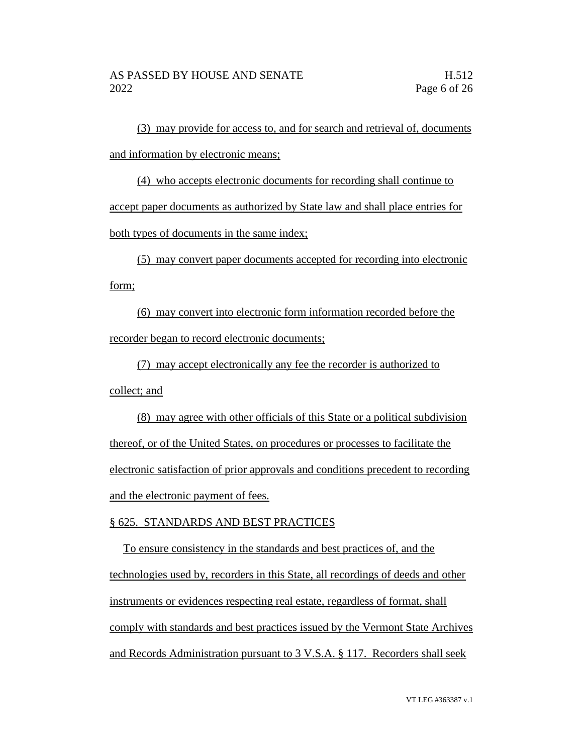(3) may provide for access to, and for search and retrieval of, documents and information by electronic means;

(4) who accepts electronic documents for recording shall continue to accept paper documents as authorized by State law and shall place entries for both types of documents in the same index;

(5) may convert paper documents accepted for recording into electronic form;

(6) may convert into electronic form information recorded before the recorder began to record electronic documents;

(7) may accept electronically any fee the recorder is authorized to collect; and

(8) may agree with other officials of this State or a political subdivision thereof, or of the United States, on procedures or processes to facilitate the electronic satisfaction of prior approvals and conditions precedent to recording and the electronic payment of fees.

## § 625. STANDARDS AND BEST PRACTICES

To ensure consistency in the standards and best practices of, and the technologies used by, recorders in this State, all recordings of deeds and other instruments or evidences respecting real estate, regardless of format, shall comply with standards and best practices issued by the Vermont State Archives and Records Administration pursuant to 3 V.S.A. § 117. Recorders shall seek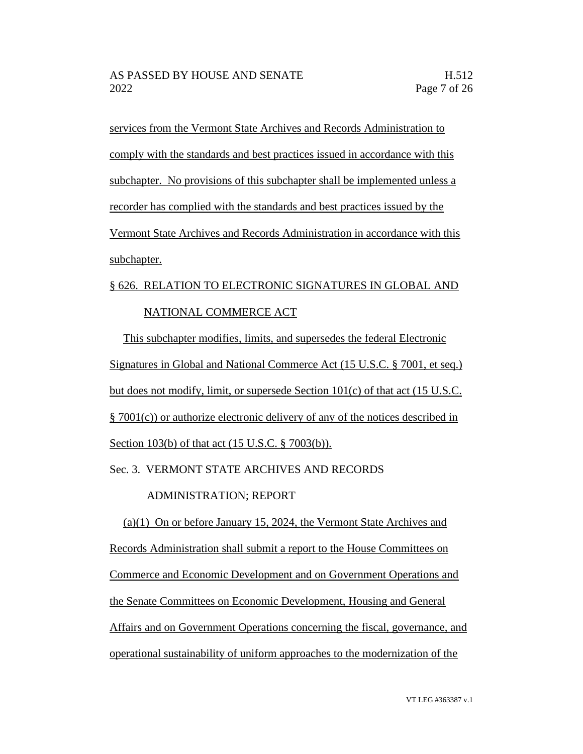services from the Vermont State Archives and Records Administration to comply with the standards and best practices issued in accordance with this subchapter. No provisions of this subchapter shall be implemented unless a recorder has complied with the standards and best practices issued by the Vermont State Archives and Records Administration in accordance with this subchapter.

# § 626. RELATION TO ELECTRONIC SIGNATURES IN GLOBAL AND NATIONAL COMMERCE ACT

This subchapter modifies, limits, and supersedes the federal Electronic Signatures in Global and National Commerce Act (15 U.S.C. § 7001, et seq.) but does not modify, limit, or supersede Section 101(c) of that act (15 U.S.C. § 7001(c)) or authorize electronic delivery of any of the notices described in Section 103(b) of that act (15 U.S.C. § 7003(b)).

## Sec. 3. VERMONT STATE ARCHIVES AND RECORDS

## ADMINISTRATION; REPORT

(a)(1) On or before January 15, 2024, the Vermont State Archives and Records Administration shall submit a report to the House Committees on Commerce and Economic Development and on Government Operations and the Senate Committees on Economic Development, Housing and General Affairs and on Government Operations concerning the fiscal, governance, and operational sustainability of uniform approaches to the modernization of the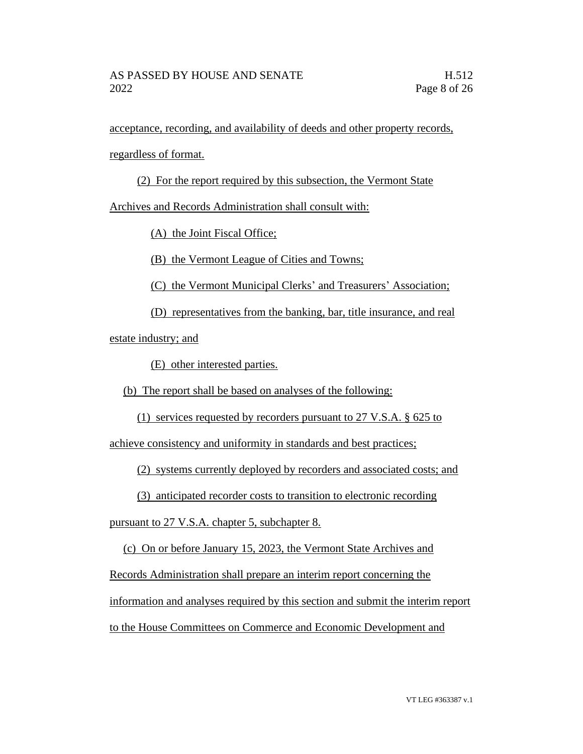acceptance, recording, and availability of deeds and other property records,

regardless of format.

(2) For the report required by this subsection, the Vermont State

Archives and Records Administration shall consult with:

(A) the Joint Fiscal Office;

(B) the Vermont League of Cities and Towns;

(C) the Vermont Municipal Clerks' and Treasurers' Association;

(D) representatives from the banking, bar, title insurance, and real

estate industry; and

(E) other interested parties.

(b) The report shall be based on analyses of the following:

(1) services requested by recorders pursuant to 27 V.S.A. § 625 to

achieve consistency and uniformity in standards and best practices;

(2) systems currently deployed by recorders and associated costs; and

(3) anticipated recorder costs to transition to electronic recording

pursuant to 27 V.S.A. chapter 5, subchapter 8.

(c) On or before January 15, 2023, the Vermont State Archives and

Records Administration shall prepare an interim report concerning the

information and analyses required by this section and submit the interim report

to the House Committees on Commerce and Economic Development and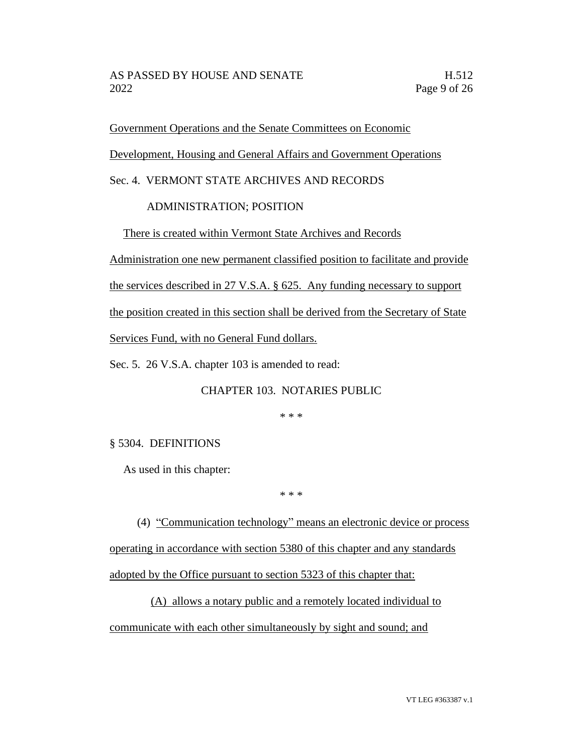Government Operations and the Senate Committees on Economic

Development, Housing and General Affairs and Government Operations

Sec. 4. VERMONT STATE ARCHIVES AND RECORDS

# ADMINISTRATION; POSITION

There is created within Vermont State Archives and Records

Administration one new permanent classified position to facilitate and provide

the services described in 27 V.S.A. § 625. Any funding necessary to support

the position created in this section shall be derived from the Secretary of State

Services Fund, with no General Fund dollars.

Sec. 5. 26 V.S.A. chapter 103 is amended to read:

# CHAPTER 103. NOTARIES PUBLIC

\* \* \*

# § 5304. DEFINITIONS

As used in this chapter:

\* \* \*

(4) "Communication technology" means an electronic device or process operating in accordance with section 5380 of this chapter and any standards adopted by the Office pursuant to section 5323 of this chapter that:

(A) allows a notary public and a remotely located individual to communicate with each other simultaneously by sight and sound; and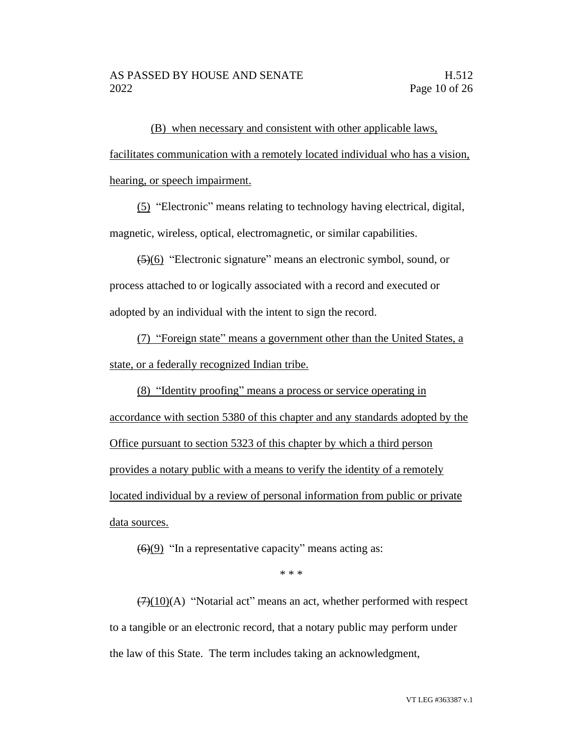(B) when necessary and consistent with other applicable laws, facilitates communication with a remotely located individual who has a vision, hearing, or speech impairment.

(5) "Electronic" means relating to technology having electrical, digital, magnetic, wireless, optical, electromagnetic, or similar capabilities.

(5)(6) "Electronic signature" means an electronic symbol, sound, or process attached to or logically associated with a record and executed or adopted by an individual with the intent to sign the record.

(7) "Foreign state" means a government other than the United States, a state, or a federally recognized Indian tribe.

(8) "Identity proofing" means a process or service operating in accordance with section 5380 of this chapter and any standards adopted by the Office pursuant to section 5323 of this chapter by which a third person provides a notary public with a means to verify the identity of a remotely located individual by a review of personal information from public or private data sources.

 $(6)(9)$  "In a representative capacity" means acting as:

\* \* \*

 $(7)(10)(A)$  "Notarial act" means an act, whether performed with respect to a tangible or an electronic record, that a notary public may perform under the law of this State. The term includes taking an acknowledgment,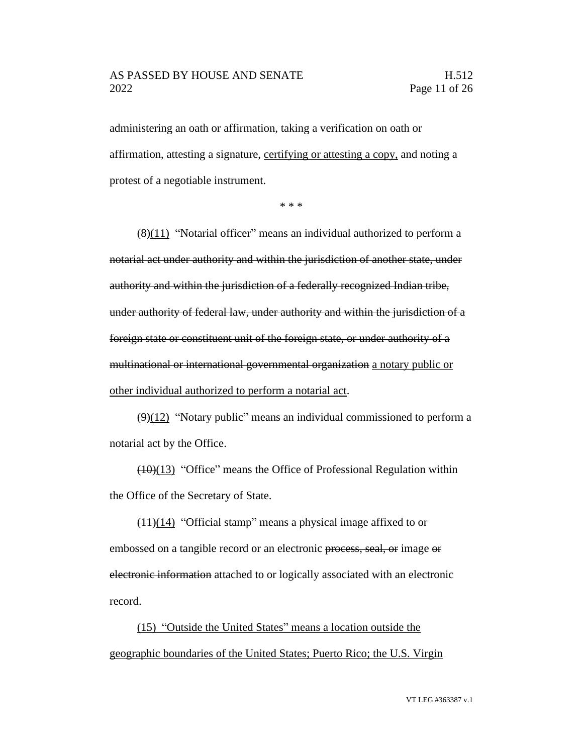### AS PASSED BY HOUSE AND SENATE H.512 2022 Page 11 of 26

administering an oath or affirmation, taking a verification on oath or affirmation, attesting a signature, certifying or attesting a copy, and noting a protest of a negotiable instrument.

\* \* \*

 $(8)(11)$  "Notarial officer" means an individual authorized to perform a notarial act under authority and within the jurisdiction of another state, under authority and within the jurisdiction of a federally recognized Indian tribe, under authority of federal law, under authority and within the jurisdiction of a foreign state or constituent unit of the foreign state, or under authority of a multinational or international governmental organization a notary public or other individual authorized to perform a notarial act.

 $\left(\frac{9}{12}\right)$  "Notary public" means an individual commissioned to perform a notarial act by the Office.

 $(10)(13)$  "Office" means the Office of Professional Regulation within the Office of the Secretary of State.

 $(11)(14)$  "Official stamp" means a physical image affixed to or embossed on a tangible record or an electronic process, seal, or image or electronic information attached to or logically associated with an electronic record.

(15) "Outside the United States" means a location outside the geographic boundaries of the United States; Puerto Rico; the U.S. Virgin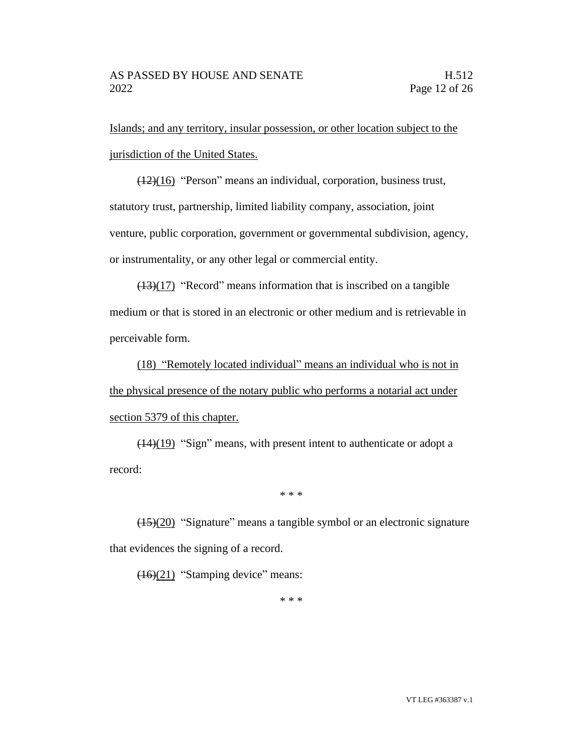Islands; and any territory, insular possession, or other location subject to the jurisdiction of the United States.

(12)(16) "Person" means an individual, corporation, business trust, statutory trust, partnership, limited liability company, association, joint venture, public corporation, government or governmental subdivision, agency, or instrumentality, or any other legal or commercial entity.

 $(13)(17)$  "Record" means information that is inscribed on a tangible medium or that is stored in an electronic or other medium and is retrievable in perceivable form.

(18) "Remotely located individual" means an individual who is not in the physical presence of the notary public who performs a notarial act under section 5379 of this chapter.

(14)(19) "Sign" means, with present intent to authenticate or adopt a record:

\* \* \*

(15)(20) "Signature" means a tangible symbol or an electronic signature that evidences the signing of a record.

(16)(21) "Stamping device" means:

\* \* \*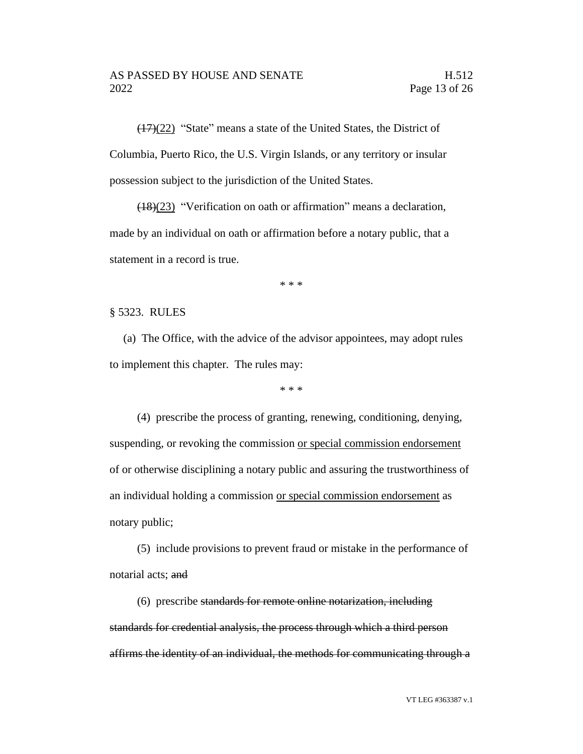(17)(22) "State" means a state of the United States, the District of Columbia, Puerto Rico, the U.S. Virgin Islands, or any territory or insular possession subject to the jurisdiction of the United States.

(18)(23) "Verification on oath or affirmation" means a declaration, made by an individual on oath or affirmation before a notary public, that a statement in a record is true.

\* \* \*

#### § 5323. RULES

(a) The Office, with the advice of the advisor appointees, may adopt rules to implement this chapter. The rules may:

\* \* \*

(4) prescribe the process of granting, renewing, conditioning, denying, suspending, or revoking the commission or special commission endorsement of or otherwise disciplining a notary public and assuring the trustworthiness of an individual holding a commission or special commission endorsement as notary public;

(5) include provisions to prevent fraud or mistake in the performance of notarial acts; and

(6) prescribe standards for remote online notarization, including standards for credential analysis, the process through which a third person affirms the identity of an individual, the methods for communicating through a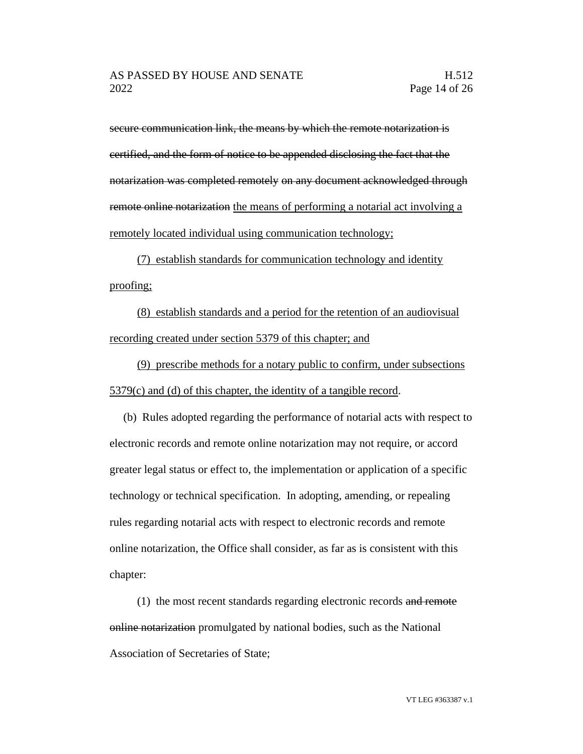secure communication link, the means by which the remote notarization is certified, and the form of notice to be appended disclosing the fact that the notarization was completed remotely on any document acknowledged through remote online notarization the means of performing a notarial act involving a remotely located individual using communication technology;

(7) establish standards for communication technology and identity proofing;

(8) establish standards and a period for the retention of an audiovisual recording created under section 5379 of this chapter; and

(9) prescribe methods for a notary public to confirm, under subsections 5379(c) and (d) of this chapter, the identity of a tangible record.

(b) Rules adopted regarding the performance of notarial acts with respect to electronic records and remote online notarization may not require, or accord greater legal status or effect to, the implementation or application of a specific technology or technical specification. In adopting, amending, or repealing rules regarding notarial acts with respect to electronic records and remote online notarization, the Office shall consider, as far as is consistent with this chapter:

(1) the most recent standards regarding electronic records and remote online notarization promulgated by national bodies, such as the National Association of Secretaries of State;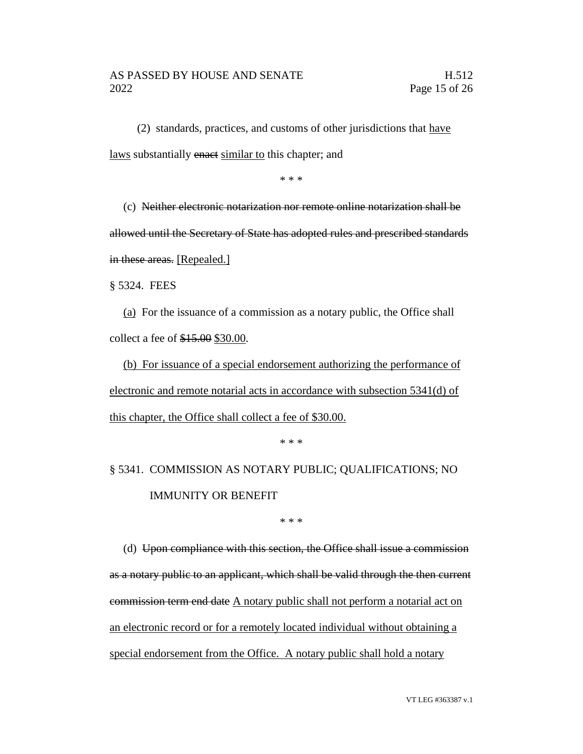$(2)$  standards, practices, and customs of other jurisdictions that have laws substantially enact similar to this chapter; and

\* \* \*

(c) Neither electronic notarization nor remote online notarization shall be allowed until the Secretary of State has adopted rules and prescribed standards in these areas. [Repealed.]

§ 5324. FEES

(a) For the issuance of a commission as a notary public, the Office shall collect a fee of \$15.00 \$30.00.

(b) For issuance of a special endorsement authorizing the performance of electronic and remote notarial acts in accordance with subsection 5341(d) of this chapter, the Office shall collect a fee of \$30.00.

\* \* \*

§ 5341. COMMISSION AS NOTARY PUBLIC; QUALIFICATIONS; NO IMMUNITY OR BENEFIT

\* \* \*

(d) Upon compliance with this section, the Office shall issue a commission as a notary public to an applicant, which shall be valid through the then current commission term end date A notary public shall not perform a notarial act on an electronic record or for a remotely located individual without obtaining a special endorsement from the Office. A notary public shall hold a notary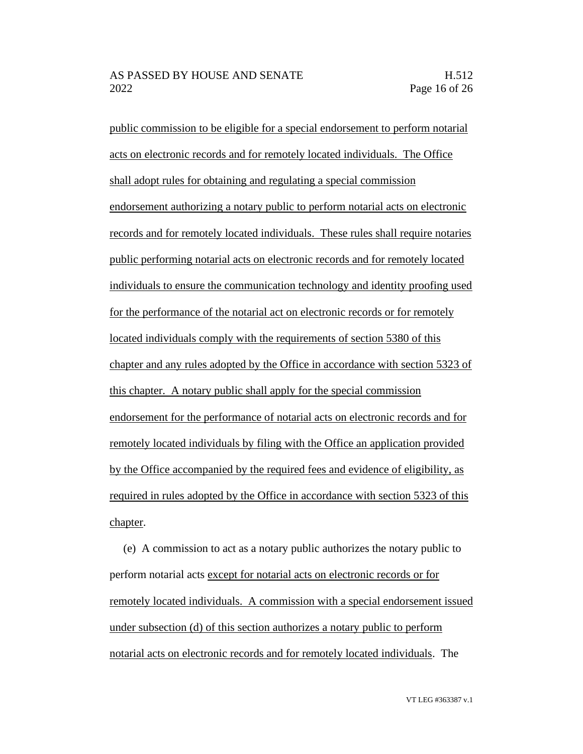public commission to be eligible for a special endorsement to perform notarial acts on electronic records and for remotely located individuals. The Office shall adopt rules for obtaining and regulating a special commission endorsement authorizing a notary public to perform notarial acts on electronic records and for remotely located individuals. These rules shall require notaries public performing notarial acts on electronic records and for remotely located individuals to ensure the communication technology and identity proofing used for the performance of the notarial act on electronic records or for remotely located individuals comply with the requirements of section 5380 of this chapter and any rules adopted by the Office in accordance with section 5323 of this chapter. A notary public shall apply for the special commission endorsement for the performance of notarial acts on electronic records and for remotely located individuals by filing with the Office an application provided by the Office accompanied by the required fees and evidence of eligibility, as required in rules adopted by the Office in accordance with section 5323 of this chapter.

(e) A commission to act as a notary public authorizes the notary public to perform notarial acts except for notarial acts on electronic records or for remotely located individuals. A commission with a special endorsement issued under subsection (d) of this section authorizes a notary public to perform notarial acts on electronic records and for remotely located individuals. The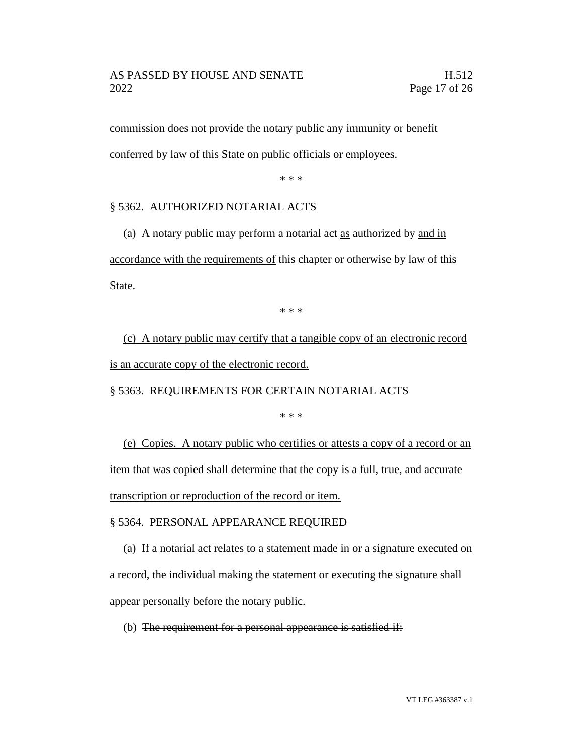### AS PASSED BY HOUSE AND SENATE H.512 2022 Page 17 of 26

commission does not provide the notary public any immunity or benefit conferred by law of this State on public officials or employees.

\* \* \*

## § 5362. AUTHORIZED NOTARIAL ACTS

(a) A notary public may perform a notarial act as authorized by and in accordance with the requirements of this chapter or otherwise by law of this State.

\* \* \*

(c) A notary public may certify that a tangible copy of an electronic record is an accurate copy of the electronic record.

§ 5363. REQUIREMENTS FOR CERTAIN NOTARIAL ACTS

\* \* \*

(e) Copies. A notary public who certifies or attests a copy of a record or an item that was copied shall determine that the copy is a full, true, and accurate transcription or reproduction of the record or item.

## § 5364. PERSONAL APPEARANCE REQUIRED

(a) If a notarial act relates to a statement made in or a signature executed on a record, the individual making the statement or executing the signature shall appear personally before the notary public.

(b) The requirement for a personal appearance is satisfied if: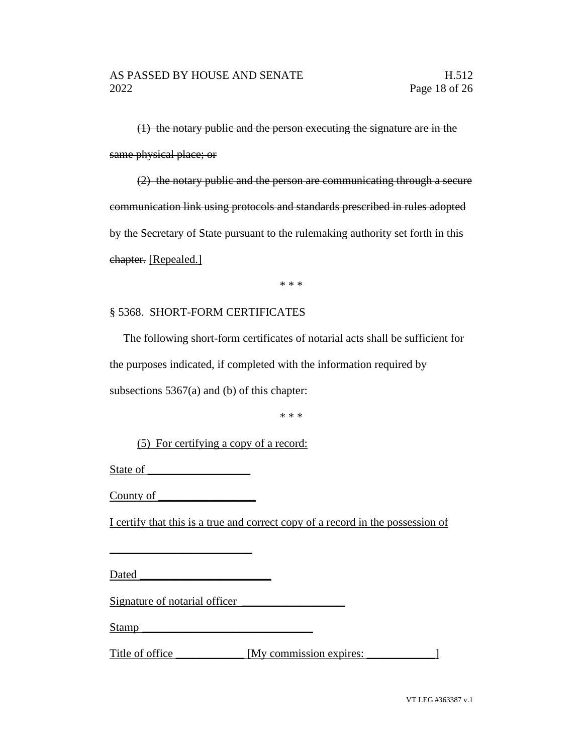(1) the notary public and the person executing the signature are in the same physical place; or

(2) the notary public and the person are communicating through a secure communication link using protocols and standards prescribed in rules adopted by the Secretary of State pursuant to the rulemaking authority set forth in this chapter. [Repealed.]

\* \* \*

## § 5368. SHORT-FORM CERTIFICATES

The following short-form certificates of notarial acts shall be sufficient for the purposes indicated, if completed with the information required by subsections 5367(a) and (b) of this chapter:

\* \* \*

(5) For certifying a copy of a record:

State of

 $\_$ 

County of

I certify that this is a true and correct copy of a record in the possession of

Dated **Dates and Security** 

Signature of notarial officer

Stamp \_\_\_\_\_\_\_\_\_\_\_\_\_\_\_\_\_\_\_\_\_\_\_\_\_\_\_\_\_\_

Title of office \_\_\_\_\_\_\_\_\_\_\_ [My commission expires: \_\_\_\_\_\_\_\_\_\_\_\_\_\_\_\_\_\_\_\_\_\_\_\_\_\_\_\_

VT LEG #363387 v.1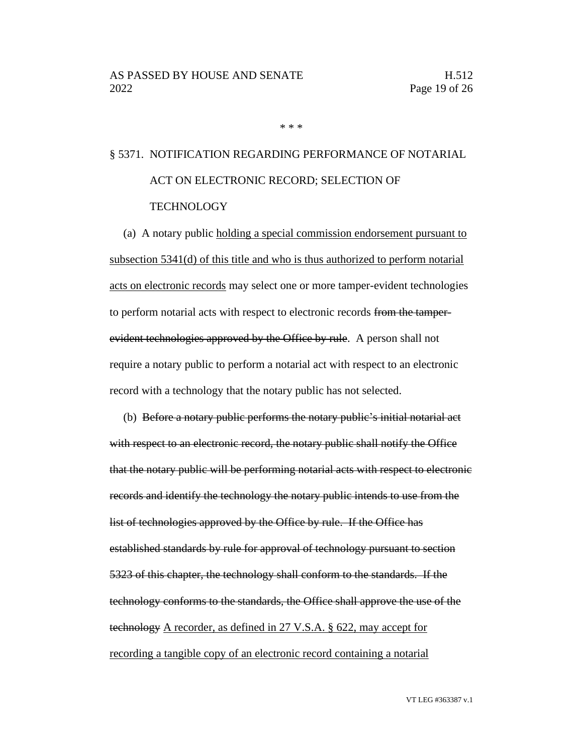\* \* \*

# § 5371. NOTIFICATION REGARDING PERFORMANCE OF NOTARIAL ACT ON ELECTRONIC RECORD; SELECTION OF TECHNOLOGY

(a) A notary public holding a special commission endorsement pursuant to subsection 5341(d) of this title and who is thus authorized to perform notarial acts on electronic records may select one or more tamper-evident technologies to perform notarial acts with respect to electronic records from the tamperevident technologies approved by the Office by rule. A person shall not require a notary public to perform a notarial act with respect to an electronic record with a technology that the notary public has not selected.

(b) Before a notary public performs the notary public's initial notarial act with respect to an electronic record, the notary public shall notify the Office that the notary public will be performing notarial acts with respect to electronic records and identify the technology the notary public intends to use from the list of technologies approved by the Office by rule. If the Office has established standards by rule for approval of technology pursuant to section 5323 of this chapter, the technology shall conform to the standards. If the technology conforms to the standards, the Office shall approve the use of the technology A recorder, as defined in 27 V.S.A. § 622, may accept for recording a tangible copy of an electronic record containing a notarial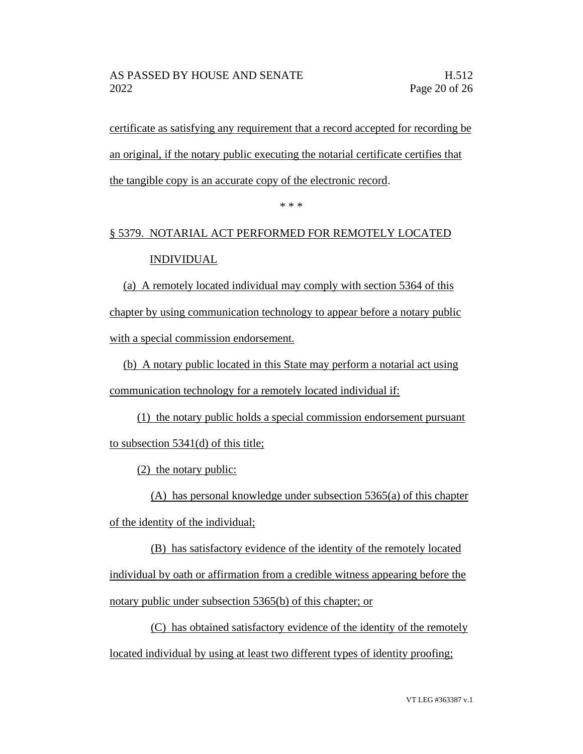certificate as satisfying any requirement that a record accepted for recording be an original, if the notary public executing the notarial certificate certifies that the tangible copy is an accurate copy of the electronic record.

\* \* \*

# § 5379. NOTARIAL ACT PERFORMED FOR REMOTELY LOCATED INDIVIDUAL

(a) A remotely located individual may comply with section 5364 of this chapter by using communication technology to appear before a notary public with a special commission endorsement.

(b) A notary public located in this State may perform a notarial act using communication technology for a remotely located individual if:

(1) the notary public holds a special commission endorsement pursuant to subsection 5341(d) of this title;

(2) the notary public:

(A) has personal knowledge under subsection 5365(a) of this chapter of the identity of the individual;

(B) has satisfactory evidence of the identity of the remotely located individual by oath or affirmation from a credible witness appearing before the notary public under subsection 5365(b) of this chapter; or

(C) has obtained satisfactory evidence of the identity of the remotely located individual by using at least two different types of identity proofing;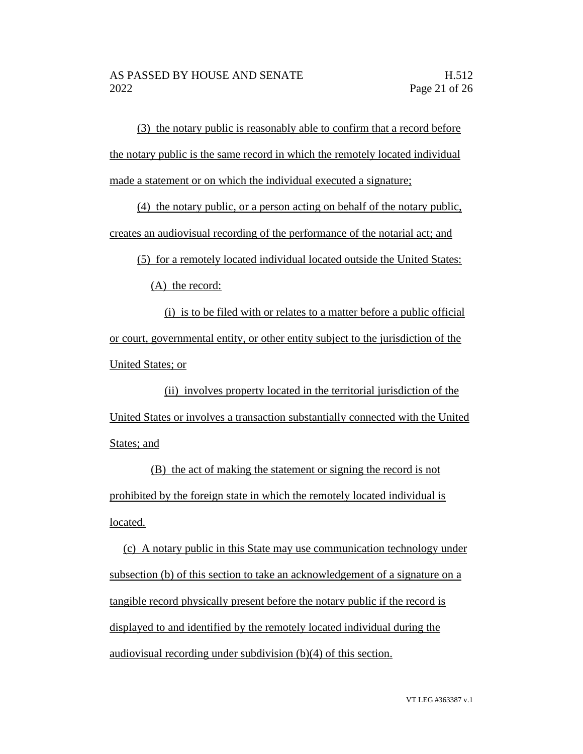(3) the notary public is reasonably able to confirm that a record before the notary public is the same record in which the remotely located individual made a statement or on which the individual executed a signature;

(4) the notary public, or a person acting on behalf of the notary public, creates an audiovisual recording of the performance of the notarial act; and

(5) for a remotely located individual located outside the United States:

(A) the record:

(i) is to be filed with or relates to a matter before a public official or court, governmental entity, or other entity subject to the jurisdiction of the United States; or

(ii) involves property located in the territorial jurisdiction of the United States or involves a transaction substantially connected with the United States; and

(B) the act of making the statement or signing the record is not prohibited by the foreign state in which the remotely located individual is located.

(c) A notary public in this State may use communication technology under subsection (b) of this section to take an acknowledgement of a signature on a tangible record physically present before the notary public if the record is displayed to and identified by the remotely located individual during the audiovisual recording under subdivision (b)(4) of this section.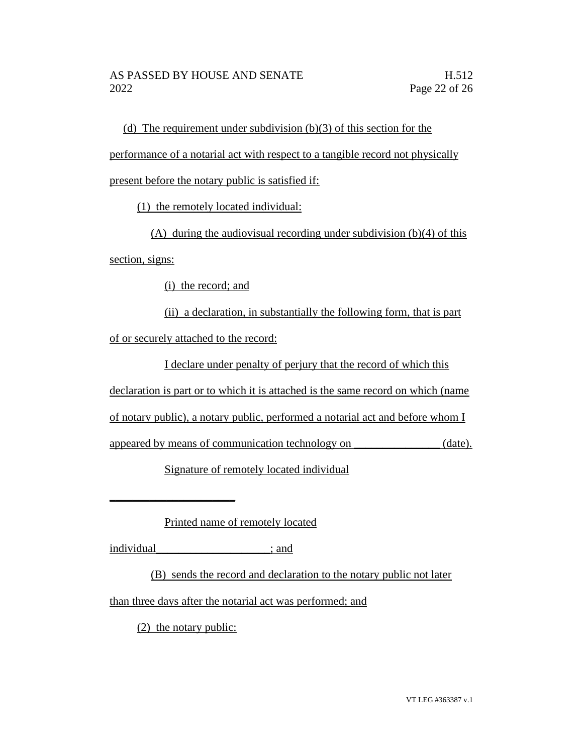(d) The requirement under subdivision (b)(3) of this section for the performance of a notarial act with respect to a tangible record not physically present before the notary public is satisfied if:

(1) the remotely located individual:

(A) during the audiovisual recording under subdivision (b)(4) of this section, signs:

(i) the record; and

(ii) a declaration, in substantially the following form, that is part of or securely attached to the record:

I declare under penalty of perjury that the record of which this

declaration is part or to which it is attached is the same record on which (name

of notary public), a notary public, performed a notarial act and before whom I

appeared by means of communication technology on  $(date)$ .

Signature of remotely located individual

Printed name of remotely located

individual\_\_\_\_\_\_\_\_\_\_\_\_\_\_\_\_\_\_\_\_; and

 $\_$ 

(B) sends the record and declaration to the notary public not later

than three days after the notarial act was performed; and

(2) the notary public: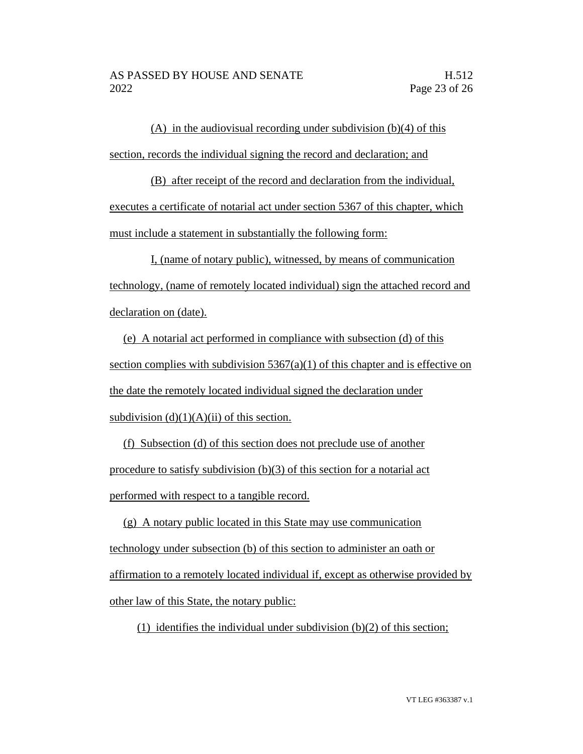(A) in the audiovisual recording under subdivision  $(b)(4)$  of this section, records the individual signing the record and declaration; and

(B) after receipt of the record and declaration from the individual, executes a certificate of notarial act under section 5367 of this chapter, which must include a statement in substantially the following form:

I, (name of notary public), witnessed, by means of communication technology, (name of remotely located individual) sign the attached record and declaration on (date).

(e) A notarial act performed in compliance with subsection (d) of this section complies with subdivision  $5367(a)(1)$  of this chapter and is effective on the date the remotely located individual signed the declaration under subdivision  $(d)(1)(A)(ii)$  of this section.

(f) Subsection (d) of this section does not preclude use of another procedure to satisfy subdivision (b)(3) of this section for a notarial act performed with respect to a tangible record.

(g) A notary public located in this State may use communication technology under subsection (b) of this section to administer an oath or affirmation to a remotely located individual if, except as otherwise provided by other law of this State, the notary public:

(1) identifies the individual under subdivision  $(b)(2)$  of this section;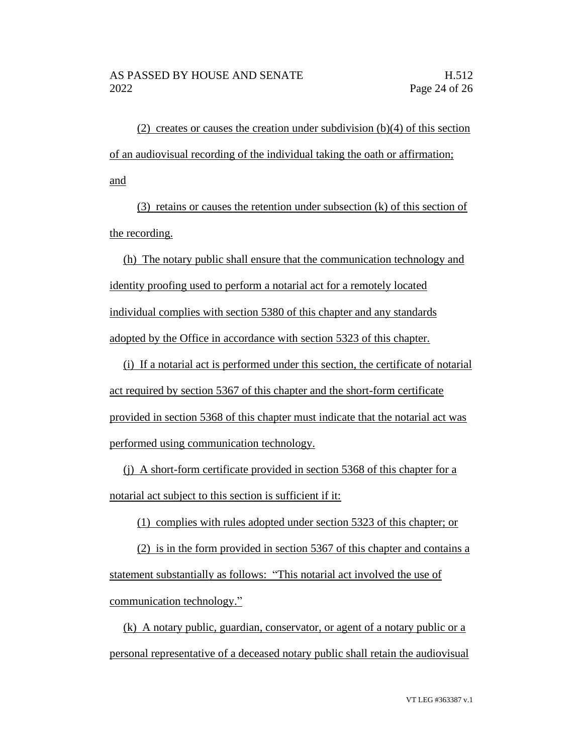(2) creates or causes the creation under subdivision  $(b)(4)$  of this section of an audiovisual recording of the individual taking the oath or affirmation; and

(3) retains or causes the retention under subsection (k) of this section of the recording.

(h) The notary public shall ensure that the communication technology and identity proofing used to perform a notarial act for a remotely located individual complies with section 5380 of this chapter and any standards adopted by the Office in accordance with section 5323 of this chapter.

(i) If a notarial act is performed under this section, the certificate of notarial act required by section 5367 of this chapter and the short-form certificate provided in section 5368 of this chapter must indicate that the notarial act was performed using communication technology.

(j) A short-form certificate provided in section 5368 of this chapter for a notarial act subject to this section is sufficient if it:

(1) complies with rules adopted under section 5323 of this chapter; or

(2) is in the form provided in section 5367 of this chapter and contains a statement substantially as follows: "This notarial act involved the use of communication technology."

(k) A notary public, guardian, conservator, or agent of a notary public or a personal representative of a deceased notary public shall retain the audiovisual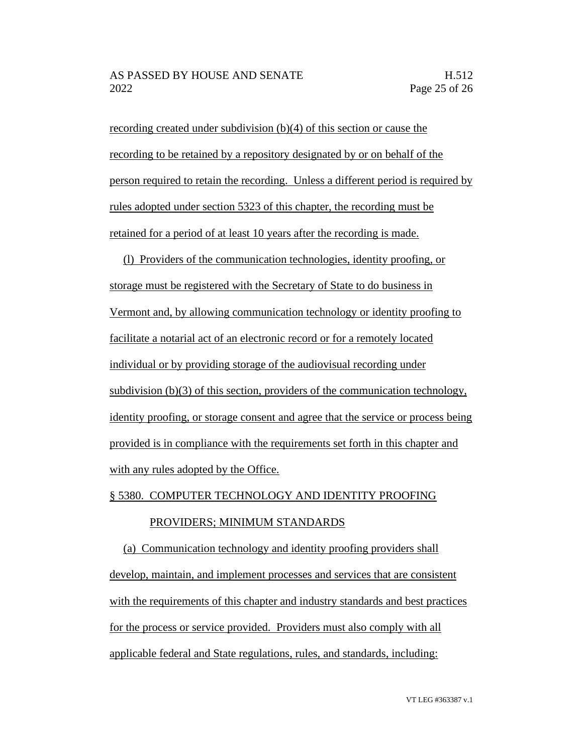recording created under subdivision (b)(4) of this section or cause the recording to be retained by a repository designated by or on behalf of the person required to retain the recording. Unless a different period is required by rules adopted under section 5323 of this chapter, the recording must be retained for a period of at least 10 years after the recording is made.

(l) Providers of the communication technologies, identity proofing, or storage must be registered with the Secretary of State to do business in Vermont and, by allowing communication technology or identity proofing to facilitate a notarial act of an electronic record or for a remotely located individual or by providing storage of the audiovisual recording under subdivision (b)(3) of this section, providers of the communication technology, identity proofing, or storage consent and agree that the service or process being provided is in compliance with the requirements set forth in this chapter and with any rules adopted by the Office.

#### § 5380. COMPUTER TECHNOLOGY AND IDENTITY PROOFING

#### PROVIDERS; MINIMUM STANDARDS

(a) Communication technology and identity proofing providers shall develop, maintain, and implement processes and services that are consistent with the requirements of this chapter and industry standards and best practices for the process or service provided. Providers must also comply with all applicable federal and State regulations, rules, and standards, including: